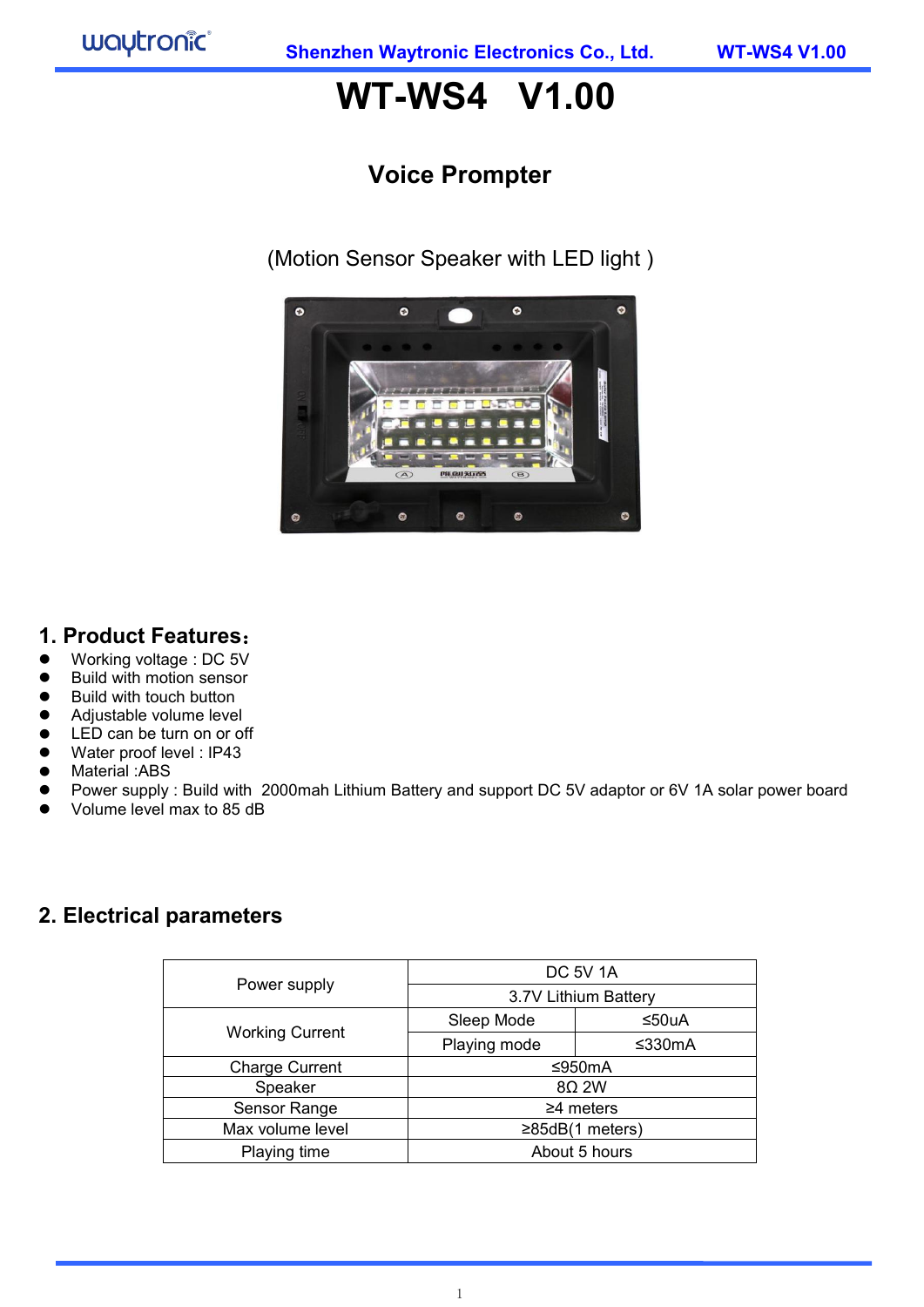# **WT-WS4 V1.00**

## **Voice Prompter**

(Motion Sensor Speaker with LED light )



### **1. Product Features**:

- Working voltage : DC 5V
- Build with motion sensor
- Build with touch button
- **Adjustable volume level**
- **LED can be turn on or off**
- Water proof level : IP43
- Material :ABS
- Power supply : Build with 2000mah Lithium Battery and support DC 5V adaptor or 6V 1A solar power board
- Volume level max to 85 dB

### **2. Electrical parameters**

|                        | <b>DC 5V 1A</b>        |        |  |  |
|------------------------|------------------------|--------|--|--|
| Power supply           | 3.7V Lithium Battery   |        |  |  |
|                        | Sleep Mode             | ≤50uA  |  |  |
| <b>Working Current</b> | Playing mode           | ≤330mA |  |  |
| <b>Charge Current</b>  | ≤950mA                 |        |  |  |
| Speaker                | $8\Omega$ 2W           |        |  |  |
| Sensor Range           | $\geq$ 4 meters        |        |  |  |
| Max volume level       | $\geq 85$ dB(1 meters) |        |  |  |
| Playing time           | About 5 hours          |        |  |  |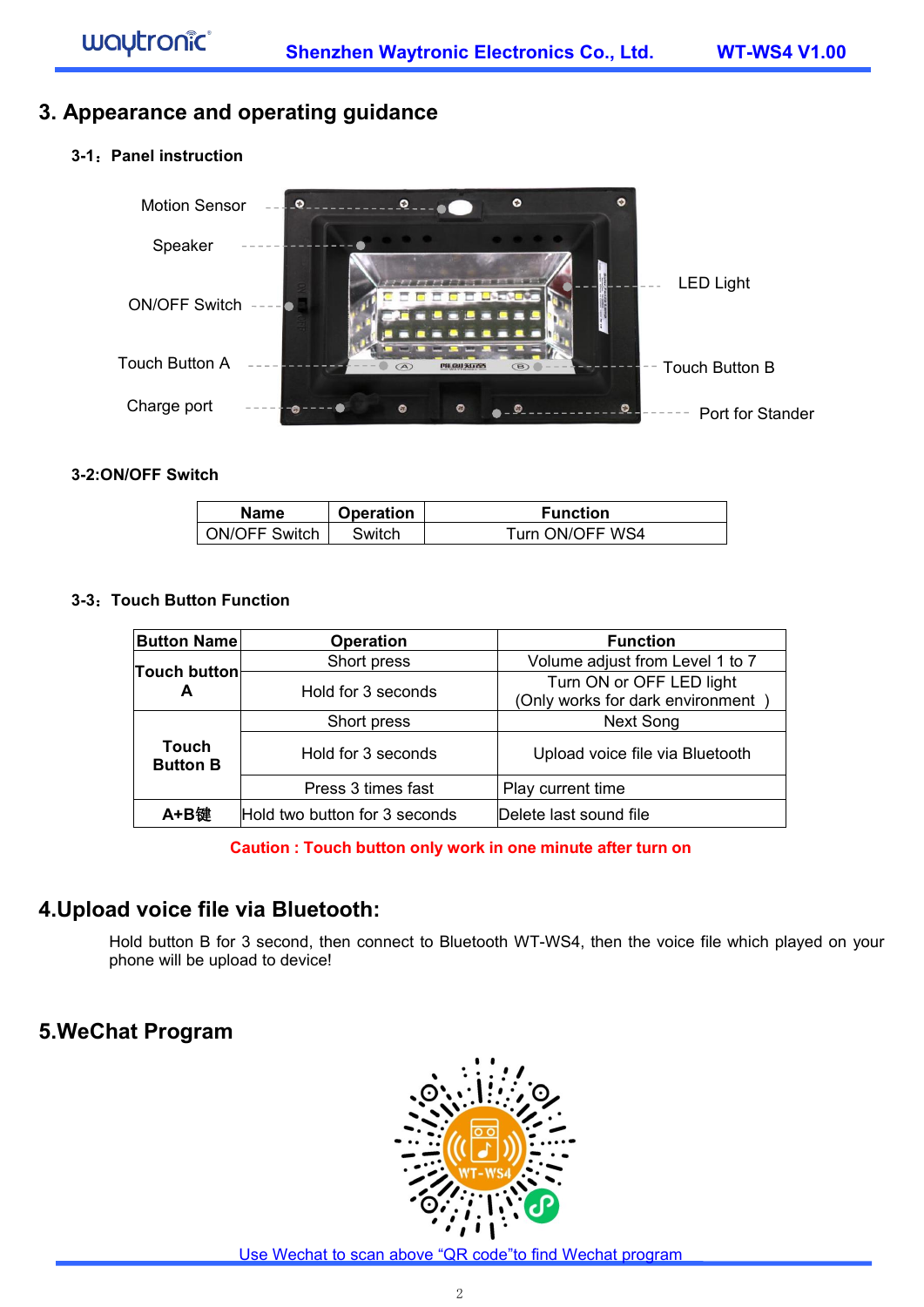### **3. Appearance and operating guidance**

#### **3-1**:**Panel instruction**



#### **3-2:ON/OFF Switch**

| <b>Name</b>          | <b>Operation</b> | <b>Function</b> |
|----------------------|------------------|-----------------|
| <b>ON/OFF Switch</b> | Switch           | Turn ON/OFF WS4 |

#### **3-3**:**Touch Button Function**

| <b>Button Name</b>       | <b>Operation</b>              | <b>Function</b>                                              |  |  |
|--------------------------|-------------------------------|--------------------------------------------------------------|--|--|
| Touch button             | Short press                   | Volume adjust from Level 1 to 7                              |  |  |
| A                        | Hold for 3 seconds            | Turn ON or OFF LED light<br>(Only works for dark environment |  |  |
|                          | Short press                   | Next Song                                                    |  |  |
| Touch<br><b>Button B</b> | Hold for 3 seconds            | Upload voice file via Bluetooth                              |  |  |
|                          | Press 3 times fast            | Play current time                                            |  |  |
| A+B键                     | Hold two button for 3 seconds | Delete last sound file                                       |  |  |

#### **Caution : Touch button only work in one minute after turn on**

### **4.Upload voice file via Bluetooth:**

Hold button B for 3 second, then connect to Bluetooth WT-WS4, then the voice file which played on your phone will be upload to device!

### **5.WeChat Program**

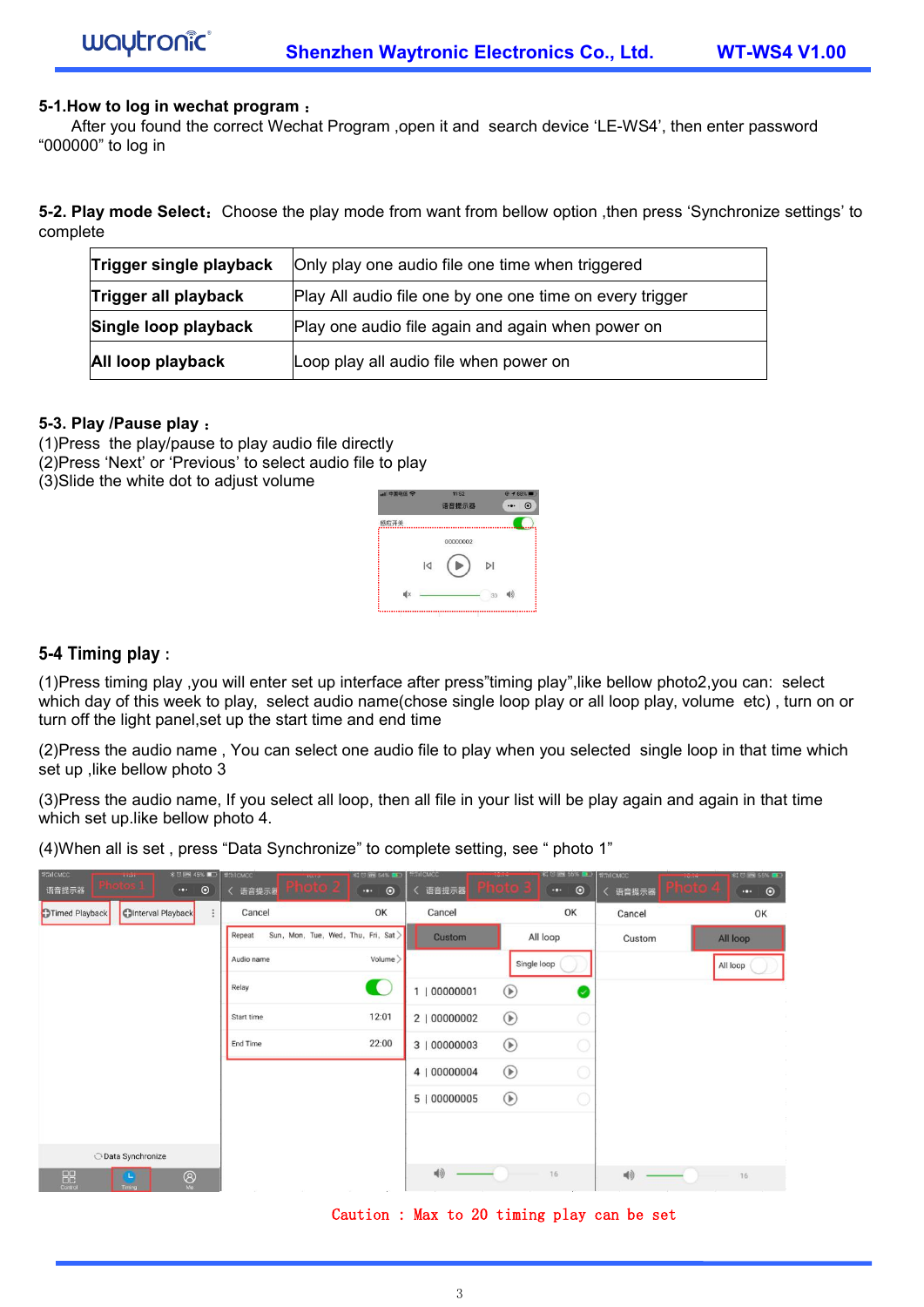#### **5-1.How to log in wechat program** :

After you found the correct Wechat Program ,open it and search device 'LE-WS4', then enter password "000000" to log in

**5-2. Play mode Select:** Choose the play mode from want from bellow option ,then press 'Synchronize settings' to complete

| Trigger single playback | Only play one audio file one time when triggered         |
|-------------------------|----------------------------------------------------------|
| Trigger all playback    | Play All audio file one by one one time on every trigger |
| Single loop playback    | Play one audio file again and again when power on        |
| All loop playback       | Loop play all audio file when power on                   |

#### **5-3. Play /Pause play** :

(1)Press the play/pause to play audio file directly (2)Press 'Next' or 'Previous' to select audio file to play

(3)Slide the white dot to adjust volume



#### **5-4 Timing play :**

(1)Press timing play ,you will enterset up interface after press"timing play",like bellow photo2,you can: select which day of this week to play, select audio name(chose single loop play or all loop play, volume etc), turn on or turn off the light panel,set up the start time and end time

(2)Press the audio name , You can select one audio file to play when you selected single loop in that time which set up , like bellow photo 3

(3)Press the audio name, If you select all loop, then all file in your list will be play again and again in that time which set up.like bellow photo 4.

(4)When all is set , press "Data Synchronize" to complete setting, see " photo 1"

| #SilcMCC<br>语音提示器                                                    | <b>8 ⊙ 88 45%</b><br><b>THE EXTERN</b><br>$\cdots$ | $\odot$    | <b>WINCMCC</b>    | <b>UMBER</b><br>rndio 2             | <b>料豆园 54% ■</b><br>$\odot$<br>$\cdot$ . | <b>Prif CMCC</b>  | <b>IMARK</b><br><b>HOME</b> | <b>RID m 55%</b><br>$\odot$<br>$\cdot$ . | <b>1970 CMCC</b> | $10 - 10$ | <b>XI © Levi 55%</b>                   |  |
|----------------------------------------------------------------------|----------------------------------------------------|------------|-------------------|-------------------------------------|------------------------------------------|-------------------|-----------------------------|------------------------------------------|------------------|-----------|----------------------------------------|--|
| Timed Playback                                                       | <b>OInterval Playback</b>                          | $\ddot{.}$ | く 语音提示器<br>Cancel |                                     | OK                                       | く 语音提示器<br>Cancel |                             | OK                                       | ( 语音提示器          |           | $\odot$<br>$\cdot \bullet \cdot$<br>OK |  |
|                                                                      |                                                    |            |                   |                                     |                                          |                   |                             |                                          | Cancel           |           |                                        |  |
|                                                                      |                                                    |            | Repeat            | Sun, Mon, Tue, Wed, Thu, Fri, Sat > |                                          | Custom            |                             | All loop                                 | Custom           |           | All loop                               |  |
|                                                                      |                                                    |            | Audio name        |                                     | Volume >                                 |                   |                             | Single loop                              |                  |           |                                        |  |
|                                                                      |                                                    |            | Relay             |                                     | C                                        | 1   00000001      | $^{\circ}$                  | $\overline{\phantom{a}}$                 |                  |           |                                        |  |
|                                                                      |                                                    |            | Start time        |                                     | 12:01                                    | 2   00000002      | $^{\circ}$                  |                                          |                  |           |                                        |  |
|                                                                      |                                                    |            | End Time          |                                     | 22:00                                    | 3   00000003      | $^{\circ}$                  |                                          |                  |           |                                        |  |
|                                                                      |                                                    |            |                   |                                     |                                          | 4   00000004      | $^{\circ}$                  |                                          |                  |           |                                        |  |
|                                                                      |                                                    |            |                   |                                     |                                          | 5   00000005      | $\odot$                     |                                          |                  |           |                                        |  |
|                                                                      |                                                    |            |                   |                                     |                                          |                   |                             |                                          |                  | All loop  |                                        |  |
|                                                                      | O Data Synchronize                                 |            |                   |                                     |                                          |                   |                             |                                          |                  |           |                                        |  |
| $\begin{array}{c} \n\text{D}\text{C} \\ \text{Control}\n\end{array}$ | $\bigotimes_{M_{\mathfrak{S}}}$<br>L,<br>Timing    |            | Tall 1            | <b>SATIS</b>                        | Tarriet of<br>$\sim 10^{-11}$            | 10                |                             | 16                                       | 响                |           | 16                                     |  |

#### Caution : Max to 20 timing play can be set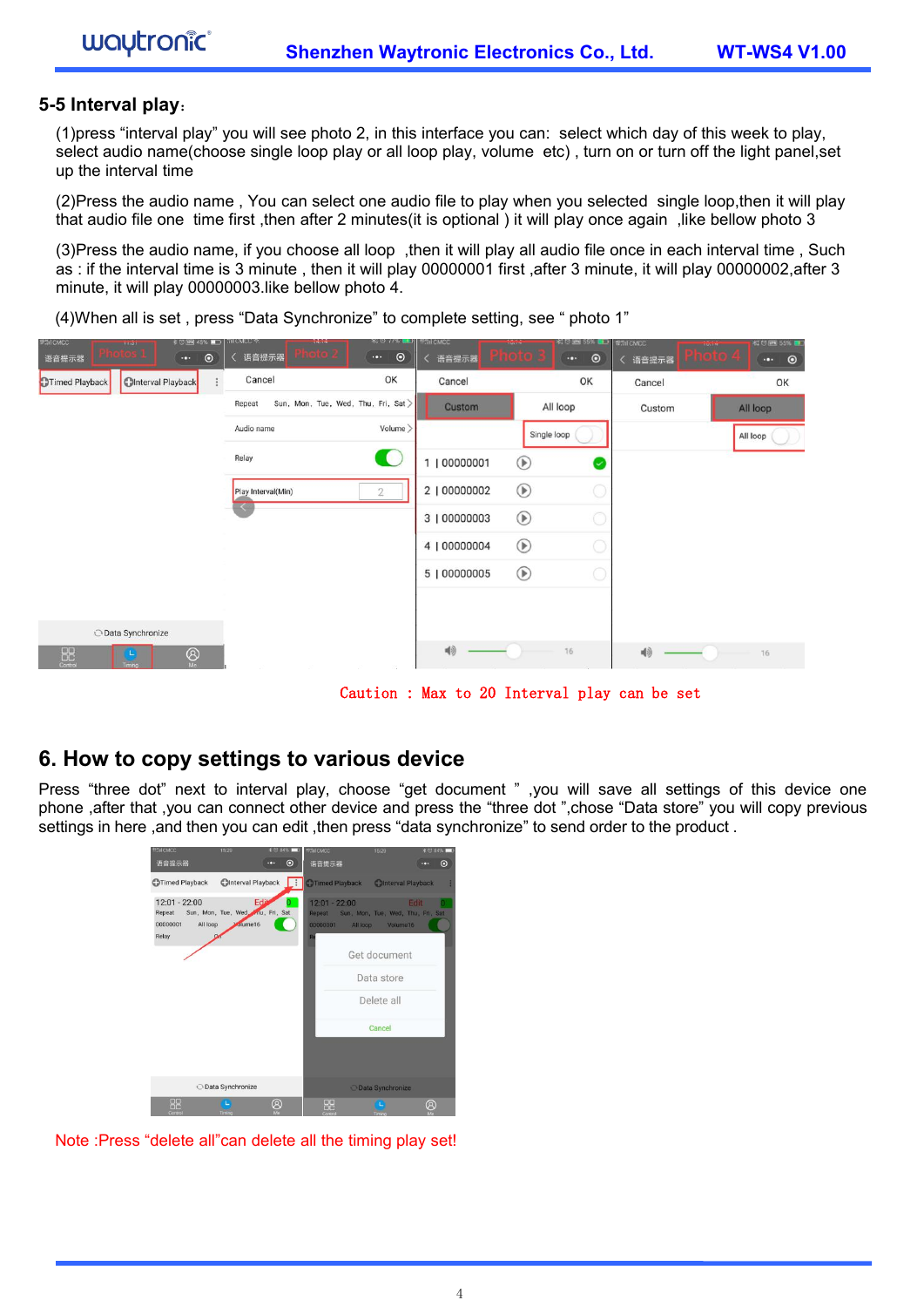#### **5-5 Interval play**:

wautronic<sup>®</sup>

(1)press "interval play" you will see photo 2, in this interface you can: select which day of this week to play, select audio name(choose single loop play or all loop play, volume etc) , turn on or turn off the light panel,set up the interval time

(2)Press the audio name , You can select one audio file to play when you selected single loop,then it will play that audio file one time first ,then after 2 minutes(it is optional ) it will play once again ,like bellow photo 3

(3)Press the audio name, if you choose all loop ,then it will play all audio file once in each interval time , Such as : if the interval time is3 minute , then it will play 00000001 first ,after 3 minute, it will play 00000002,after 3 minute, it will play 00000003.like bellow photo 4.

(4)When all is set , press "Data Synchronize" to complete setting, see " photo 1"



Caution : Max to 20 Interval play can be set

### **6. How to copy settings to various device**

Press "three dot" next to interval play, choose "get document " ,you will save all settings of this device one phone ,after that ,you can connect other device and press the "three dot ",chose "Data store" you will copy previous settings in here ,and then you can edit ,then press "data synchronize" to send order to the product .



Note :Press "delete all"can delete all the timing play set!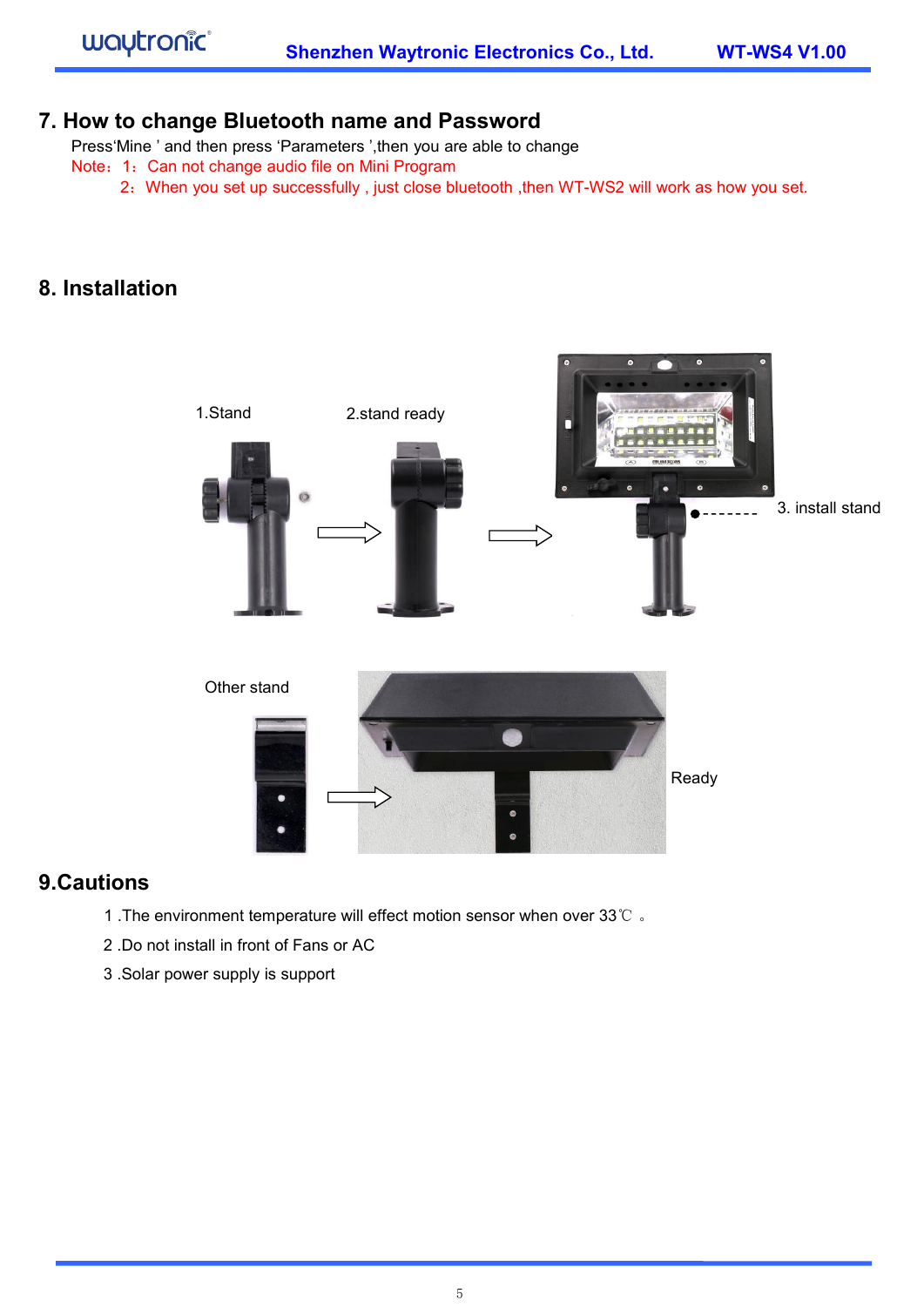### **7. How to change Bluetooth name and Password**

Press'Mine ' and then press 'Parameters ',then you are able to change

- Note: 1: Can not change audio file on Mini Program
	- 2: When you set up successfully, just close bluetooth, then WT-WS2 will work as how you set.

### **8. Installation**



### **9.Cautions**

- 1 .The environment temperature will effect motion sensor when over 33℃ 。
- 2. Do not install in front of Fans or AC
- 3 .Solar power supply is support